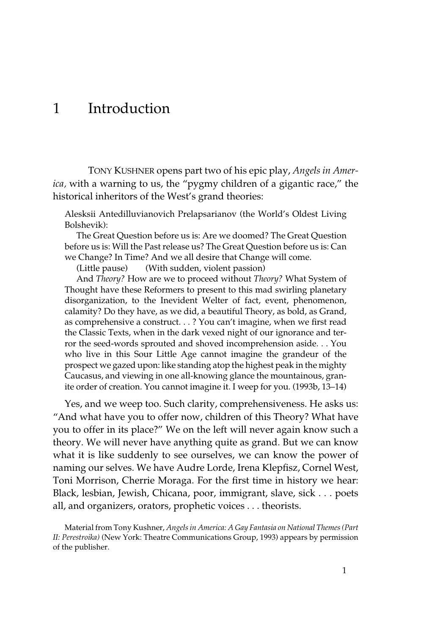# 1 Introduction

TONY KUSHNER opens part two of his epic play, *Angels in America,* with a warning to us, the "pygmy children of a gigantic race," the historical inheritors of the West's grand theories:

Alesksii Antedilluvianovich Prelapsarianov (the World's Oldest Living Bolshevik):

The Great Question before us is: Are we doomed? The Great Question before us is: Will the Past release us? The Great Question before us is: Can we Change? In Time? And we all desire that Change will come.

(Little pause) (With sudden, violent passion)

And *Theory?* How are we to proceed without *Theory?* What System of Thought have these Reformers to present to this mad swirling planetary disorganization, to the Inevident Welter of fact, event, phenomenon, calamity? Do they have, as we did, a beautiful Theory, as bold, as Grand, as comprehensive a construct. . . ? You can't imagine, when we first read the Classic Texts, when in the dark vexed night of our ignorance and terror the seed-words sprouted and shoved incomprehension aside. . . You who live in this Sour Little Age cannot imagine the grandeur of the prospect we gazed upon: like standing atop the highest peak in the mighty Caucasus, and viewing in one all-knowing glance the mountainous, granite order of creation. You cannot imagine it. I weep for you. (1993b, 13–14)

Yes, and we weep too. Such clarity, comprehensiveness. He asks us: "And what have you to offer now, children of this Theory? What have you to offer in its place?" We on the left will never again know such a theory. We will never have anything quite as grand. But we can know what it is like suddenly to see ourselves, we can know the power of naming our selves. We have Audre Lorde, Irena Klepfisz, Cornel West, Toni Morrison, Cherrie Moraga. For the first time in history we hear: Black, lesbian, Jewish, Chicana, poor, immigrant, slave, sick . . . poets all, and organizers, orators, prophetic voices . . . theorists.

Material from Tony Kushner, *Angels in America: A Gay Fantasia on National Themes (Part II: Perestroika)* (New York: Theatre Communications Group, 1993) appears by permission of the publisher.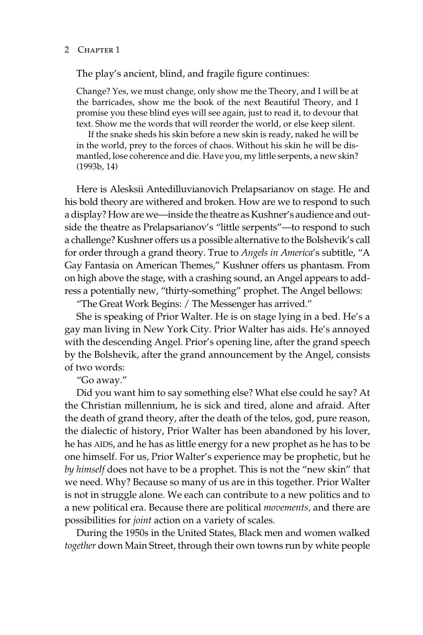#### 2 CHAPTER 1

The play's ancient, blind, and fragile figure continues:

Change? Yes, we must change, only show me the Theory, and I will be at the barricades, show me the book of the next Beautiful Theory, and I promise you these blind eyes will see again, just to read it, to devour that text. Show me the words that will reorder the world, or else keep silent.

If the snake sheds his skin before a new skin is ready, naked he will be in the world, prey to the forces of chaos. Without his skin he will be dismantled, lose coherence and die. Have you, my little serpents, a new skin? (1993b, 14)

Here is Alesksii Antedilluvianovich Prelapsarianov on stage. He and his bold theory are withered and broken. How are we to respond to such a display? How are we—inside the theatre as Kushner's audience and outside the theatre as Prelapsarianov's "little serpents"—to respond to such a challenge? Kushner offers us a possible alternative to the Bolshevik's call for order through a grand theory. True to *Angels in America*'s subtitle, "A Gay Fantasia on American Themes," Kushner offers us phantasm. From on high above the stage, with a crashing sound, an Angel appears to address a potentially new, "thirty-something" prophet. The Angel bellows:

"The Great Work Begins: / The Messenger has arrived."

She is speaking of Prior Walter. He is on stage lying in a bed. He's a gay man living in New York City. Prior Walter has aids. He's annoyed with the descending Angel. Prior's opening line, after the grand speech by the Bolshevik, after the grand announcement by the Angel, consists of two words:

"Go away."

Did you want him to say something else? What else could he say? At the Christian millennium, he is sick and tired, alone and afraid. After the death of grand theory, after the death of the telos, god, pure reason, the dialectic of history, Prior Walter has been abandoned by his lover, he has AIDS, and he has as little energy for a new prophet as he has to be one himself. For us, Prior Walter's experience may be prophetic, but he *by himself* does not have to be a prophet. This is not the "new skin" that we need. Why? Because so many of us are in this together. Prior Walter is not in struggle alone. We each can contribute to a new politics and to a new political era. Because there are political *movements,* and there are possibilities for *joint* action on a variety of scales.

During the 1950s in the United States, Black men and women walked *together* down Main Street, through their own towns run by white people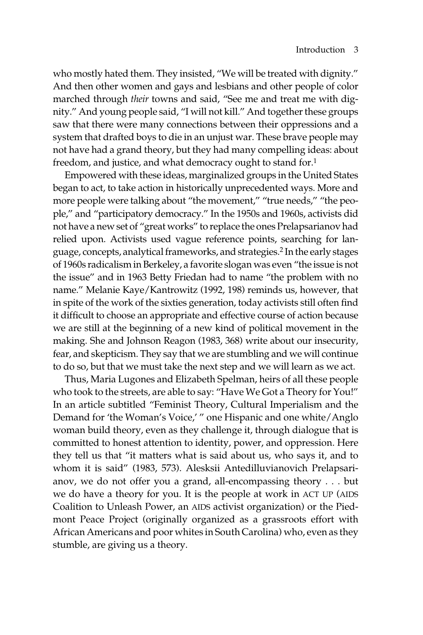who mostly hated them. They insisted, "We will be treated with dignity." And then other women and gays and lesbians and other people of color marched through *their* towns and said, "See me and treat me with dignity." And young people said, "I will not kill." And together these groups saw that there were many connections between their oppressions and a system that drafted boys to die in an unjust war. These brave people may not have had a grand theory, but they had many compelling ideas: about freedom, and justice, and what democracy ought to stand for.<sup>1</sup>

Empowered with these ideas, marginalized groups in the United States began to act, to take action in historically unprecedented ways. More and more people were talking about "the movement," "true needs," "the people," and "participatory democracy." In the 1950s and 1960s, activists did not have a new set of "great works" to replace the ones Prelapsarianov had relied upon. Activists used vague reference points, searching for language, concepts, analytical frameworks, and strategies.2 In the early stages of 1960s radicalism in Berkeley, a favorite slogan was even "the issue is not the issue" and in 1963 Betty Friedan had to name "the problem with no name." Melanie Kaye/Kantrowitz (1992, 198) reminds us, however, that in spite of the work of the sixties generation, today activists still often find it difficult to choose an appropriate and effective course of action because we are still at the beginning of a new kind of political movement in the making. She and Johnson Reagon (1983, 368) write about our insecurity, fear, and skepticism. They say that we are stumbling and we will continue to do so, but that we must take the next step and we will learn as we act.

Thus, Maria Lugones and Elizabeth Spelman, heirs of all these people who took to the streets, are able to say: "Have We Got a Theory for You!" In an article subtitled "Feminist Theory, Cultural Imperialism and the Demand for 'the Woman's Voice,' " one Hispanic and one white/Anglo woman build theory, even as they challenge it, through dialogue that is committed to honest attention to identity, power, and oppression. Here they tell us that "it matters what is said about us, who says it, and to whom it is said" (1983, 573). Alesksii Antedilluvianovich Prelapsarianov, we do not offer you a grand, all-encompassing theory . . . but we do have a theory for you. It is the people at work in ACT UP (AIDS Coalition to Unleash Power, an AIDS activist organization) or the Piedmont Peace Project (originally organized as a grassroots effort with African Americans and poor whites in South Carolina) who, even as they stumble, are giving us a theory.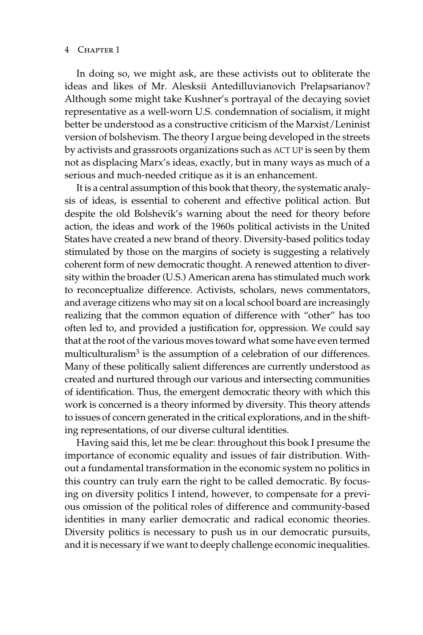#### 4 Chapter 1

In doing so, we might ask, are these activists out to obliterate the ideas and likes of Mr. Alesksii Antedilluvianovich Prelapsarianov? Although some might take Kushner's portrayal of the decaying soviet representative as a well-worn U.S. condemnation of socialism, it might better be understood as a constructive criticism of the Marxist/Leninist version of bolshevism. The theory I argue being developed in the streets by activists and grassroots organizations such as ACT UP is seen by them not as displacing Marx's ideas, exactly, but in many ways as much of a serious and much-needed critique as it is an enhancement.

It is a central assumption of this book that theory, the systematic analysis of ideas, is essential to coherent and effective political action. But despite the old Bolshevik's warning about the need for theory before action, the ideas and work of the 1960s political activists in the United States have created a new brand of theory. Diversity-based politics today stimulated by those on the margins of society is suggesting a relatively coherent form of new democratic thought. A renewed attention to diversity within the broader (U.S.) American arena has stimulated much work to reconceptualize difference. Activists, scholars, news commentators, and average citizens who may sit on a local school board are increasingly realizing that the common equation of difference with "other" has too often led to, and provided a justification for, oppression. We could say that at the root of the various moves toward what some have even termed multiculturalism<sup>3</sup> is the assumption of a celebration of our differences. Many of these politically salient differences are currently understood as created and nurtured through our various and intersecting communities of identification. Thus, the emergent democratic theory with which this work is concerned is a theory informed by diversity. This theory attends to issues of concern generated in the critical explorations, and in the shifting representations, of our diverse cultural identities.

Having said this, let me be clear: throughout this book I presume the importance of economic equality and issues of fair distribution. Without a fundamental transformation in the economic system no politics in this country can truly earn the right to be called democratic. By focusing on diversity politics I intend, however, to compensate for a previous omission of the political roles of difference and community-based identities in many earlier democratic and radical economic theories. Diversity politics is necessary to push us in our democratic pursuits, and it is necessary if we want to deeply challenge economic inequalities.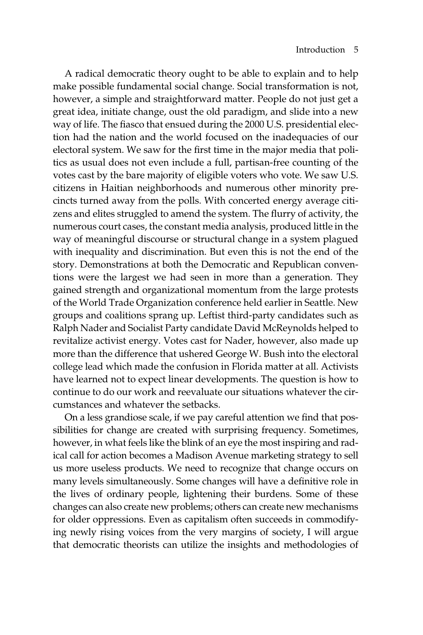A radical democratic theory ought to be able to explain and to help make possible fundamental social change. Social transformation is not, however, a simple and straightforward matter. People do not just get a great idea, initiate change, oust the old paradigm, and slide into a new way of life. The fiasco that ensued during the 2000 U.S. presidential election had the nation and the world focused on the inadequacies of our electoral system. We saw for the first time in the major media that politics as usual does not even include a full, partisan-free counting of the votes cast by the bare majority of eligible voters who vote. We saw U.S. citizens in Haitian neighborhoods and numerous other minority precincts turned away from the polls. With concerted energy average citizens and elites struggled to amend the system. The flurry of activity, the numerous court cases, the constant media analysis, produced little in the way of meaningful discourse or structural change in a system plagued with inequality and discrimination. But even this is not the end of the story. Demonstrations at both the Democratic and Republican conventions were the largest we had seen in more than a generation. They gained strength and organizational momentum from the large protests of the World Trade Organization conference held earlier in Seattle. New groups and coalitions sprang up. Leftist third-party candidates such as Ralph Nader and Socialist Party candidate David McReynolds helped to revitalize activist energy. Votes cast for Nader, however, also made up more than the difference that ushered George W. Bush into the electoral college lead which made the confusion in Florida matter at all. Activists have learned not to expect linear developments. The question is how to continue to do our work and reevaluate our situations whatever the circumstances and whatever the setbacks.

On a less grandiose scale, if we pay careful attention we find that possibilities for change are created with surprising frequency. Sometimes, however, in what feels like the blink of an eye the most inspiring and radical call for action becomes a Madison Avenue marketing strategy to sell us more useless products. We need to recognize that change occurs on many levels simultaneously. Some changes will have a definitive role in the lives of ordinary people, lightening their burdens. Some of these changes can also create new problems; others can create new mechanisms for older oppressions. Even as capitalism often succeeds in commodifying newly rising voices from the very margins of society, I will argue that democratic theorists can utilize the insights and methodologies of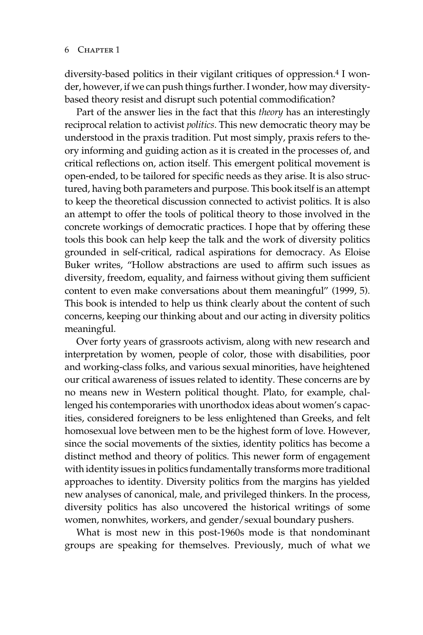diversity-based politics in their vigilant critiques of oppression.<sup>4</sup> I wonder, however, if we can push things further. I wonder, how may diversitybased theory resist and disrupt such potential commodification?

Part of the answer lies in the fact that this *theory* has an interestingly reciprocal relation to activist *politics*. This new democratic theory may be understood in the praxis tradition. Put most simply, praxis refers to theory informing and guiding action as it is created in the processes of, and critical reflections on, action itself. This emergent political movement is open-ended, to be tailored for specific needs as they arise. It is also structured, having both parameters and purpose. This book itself is an attempt to keep the theoretical discussion connected to activist politics. It is also an attempt to offer the tools of political theory to those involved in the concrete workings of democratic practices. I hope that by offering these tools this book can help keep the talk and the work of diversity politics grounded in self-critical, radical aspirations for democracy. As Eloise Buker writes, "Hollow abstractions are used to affirm such issues as diversity, freedom, equality, and fairness without giving them sufficient content to even make conversations about them meaningful" (1999, 5). This book is intended to help us think clearly about the content of such concerns, keeping our thinking about and our acting in diversity politics meaningful.

Over forty years of grassroots activism, along with new research and interpretation by women, people of color, those with disabilities, poor and working-class folks, and various sexual minorities, have heightened our critical awareness of issues related to identity. These concerns are by no means new in Western political thought. Plato, for example, challenged his contemporaries with unorthodox ideas about women's capacities, considered foreigners to be less enlightened than Greeks, and felt homosexual love between men to be the highest form of love. However, since the social movements of the sixties, identity politics has become a distinct method and theory of politics. This newer form of engagement with identity issues in politics fundamentally transforms more traditional approaches to identity. Diversity politics from the margins has yielded new analyses of canonical, male, and privileged thinkers. In the process, diversity politics has also uncovered the historical writings of some women, nonwhites, workers, and gender/sexual boundary pushers.

What is most new in this post-1960s mode is that nondominant groups are speaking for themselves. Previously, much of what we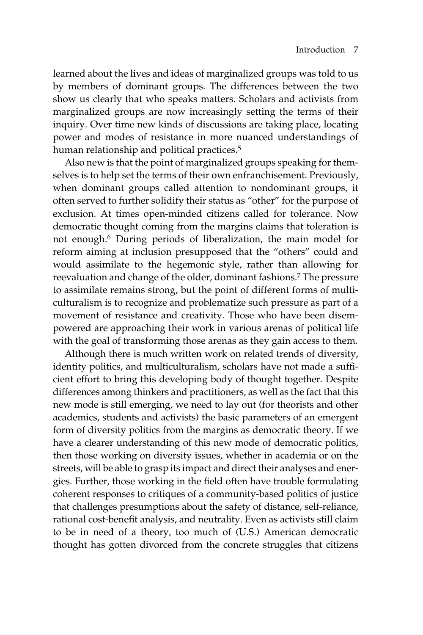learned about the lives and ideas of marginalized groups was told to us by members of dominant groups. The differences between the two show us clearly that who speaks matters. Scholars and activists from marginalized groups are now increasingly setting the terms of their inquiry. Over time new kinds of discussions are taking place, locating power and modes of resistance in more nuanced understandings of human relationship and political practices.<sup>5</sup>

Also new is that the point of marginalized groups speaking for themselves is to help set the terms of their own enfranchisement. Previously, when dominant groups called attention to nondominant groups, it often served to further solidify their status as "other" for the purpose of exclusion. At times open-minded citizens called for tolerance. Now democratic thought coming from the margins claims that toleration is not enough.6 During periods of liberalization, the main model for reform aiming at inclusion presupposed that the "others" could and would assimilate to the hegemonic style, rather than allowing for reevaluation and change of the older, dominant fashions.7 The pressure to assimilate remains strong, but the point of different forms of multiculturalism is to recognize and problematize such pressure as part of a movement of resistance and creativity. Those who have been disempowered are approaching their work in various arenas of political life with the goal of transforming those arenas as they gain access to them.

Although there is much written work on related trends of diversity, identity politics, and multiculturalism, scholars have not made a sufficient effort to bring this developing body of thought together. Despite differences among thinkers and practitioners, as well as the fact that this new mode is still emerging, we need to lay out (for theorists and other academics, students and activists) the basic parameters of an emergent form of diversity politics from the margins as democratic theory. If we have a clearer understanding of this new mode of democratic politics, then those working on diversity issues, whether in academia or on the streets, will be able to grasp its impact and direct their analyses and energies. Further, those working in the field often have trouble formulating coherent responses to critiques of a community-based politics of justice that challenges presumptions about the safety of distance, self-reliance, rational cost-benefit analysis, and neutrality. Even as activists still claim to be in need of a theory, too much of (U.S.) American democratic thought has gotten divorced from the concrete struggles that citizens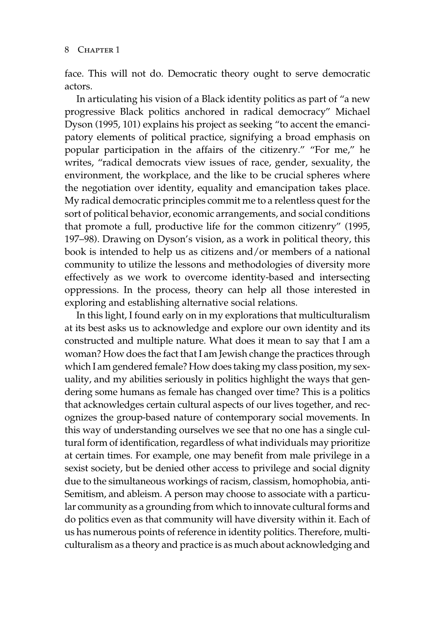face. This will not do. Democratic theory ought to serve democratic actors.

In articulating his vision of a Black identity politics as part of "a new progressive Black politics anchored in radical democracy" Michael Dyson (1995, 101) explains his project as seeking "to accent the emancipatory elements of political practice, signifying a broad emphasis on popular participation in the affairs of the citizenry." "For me," he writes, "radical democrats view issues of race, gender, sexuality, the environment, the workplace, and the like to be crucial spheres where the negotiation over identity, equality and emancipation takes place. My radical democratic principles commit me to a relentless quest for the sort of political behavior, economic arrangements, and social conditions that promote a full, productive life for the common citizenry" (1995, 197–98). Drawing on Dyson's vision, as a work in political theory, this book is intended to help us as citizens and/or members of a national community to utilize the lessons and methodologies of diversity more effectively as we work to overcome identity-based and intersecting oppressions. In the process, theory can help all those interested in exploring and establishing alternative social relations.

In this light, I found early on in my explorations that multiculturalism at its best asks us to acknowledge and explore our own identity and its constructed and multiple nature. What does it mean to say that I am a woman? How does the fact that I am Jewish change the practices through which I am gendered female? How does taking my class position, my sexuality, and my abilities seriously in politics highlight the ways that gendering some humans as female has changed over time? This is a politics that acknowledges certain cultural aspects of our lives together, and recognizes the group-based nature of contemporary social movements. In this way of understanding ourselves we see that no one has a single cultural form of identification, regardless of what individuals may prioritize at certain times. For example, one may benefit from male privilege in a sexist society, but be denied other access to privilege and social dignity due to the simultaneous workings of racism, classism, homophobia, anti-Semitism, and ableism. A person may choose to associate with a particular community as a grounding from which to innovate cultural forms and do politics even as that community will have diversity within it. Each of us has numerous points of reference in identity politics. Therefore, multiculturalism as a theory and practice is as much about acknowledging and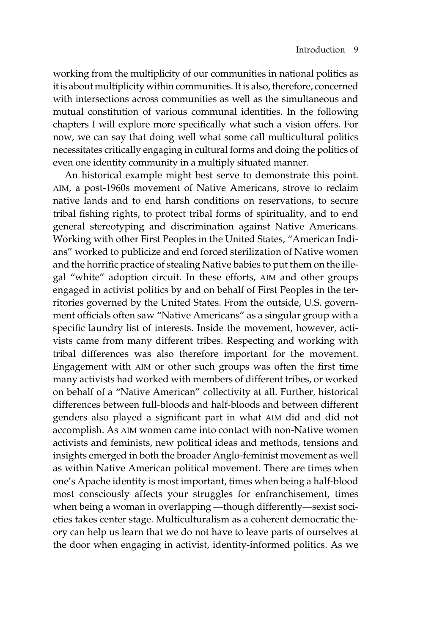working from the multiplicity of our communities in national politics as it is about multiplicity within communities. It is also, therefore, concerned with intersections across communities as well as the simultaneous and mutual constitution of various communal identities. In the following chapters I will explore more specifically what such a vision offers. For now, we can say that doing well what some call multicultural politics necessitates critically engaging in cultural forms and doing the politics of even one identity community in a multiply situated manner.

An historical example might best serve to demonstrate this point. AIM, a post-1960s movement of Native Americans, strove to reclaim native lands and to end harsh conditions on reservations, to secure tribal fishing rights, to protect tribal forms of spirituality, and to end general stereotyping and discrimination against Native Americans. Working with other First Peoples in the United States, "American Indians" worked to publicize and end forced sterilization of Native women and the horrific practice of stealing Native babies to put them on the illegal "white" adoption circuit. In these efforts, AIM and other groups engaged in activist politics by and on behalf of First Peoples in the territories governed by the United States. From the outside, U.S. government officials often saw "Native Americans" as a singular group with a specific laundry list of interests. Inside the movement, however, activists came from many different tribes. Respecting and working with tribal differences was also therefore important for the movement. Engagement with AIM or other such groups was often the first time many activists had worked with members of different tribes, or worked on behalf of a "Native American" collectivity at all. Further, historical differences between full-bloods and half-bloods and between different genders also played a significant part in what AIM did and did not accomplish. As AIM women came into contact with non-Native women activists and feminists, new political ideas and methods, tensions and insights emerged in both the broader Anglo-feminist movement as well as within Native American political movement. There are times when one's Apache identity is most important, times when being a half-blood most consciously affects your struggles for enfranchisement, times when being a woman in overlapping —though differently—sexist societies takes center stage. Multiculturalism as a coherent democratic theory can help us learn that we do not have to leave parts of ourselves at the door when engaging in activist, identity-informed politics. As we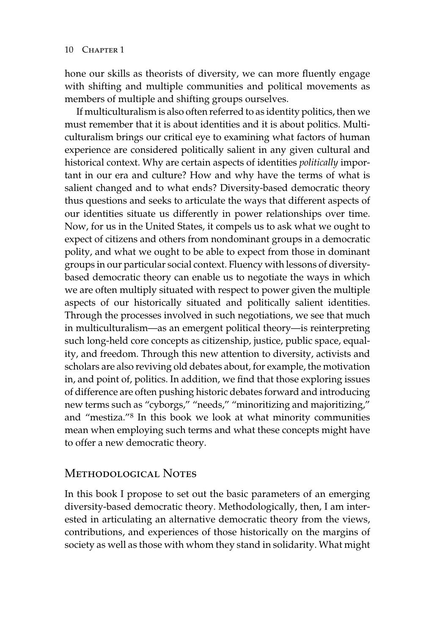hone our skills as theorists of diversity, we can more fluently engage with shifting and multiple communities and political movements as members of multiple and shifting groups ourselves.

If multiculturalism is also often referred to as identity politics, then we must remember that it is about identities and it is about politics. Multiculturalism brings our critical eye to examining what factors of human experience are considered politically salient in any given cultural and historical context. Why are certain aspects of identities *politically* important in our era and culture? How and why have the terms of what is salient changed and to what ends? Diversity-based democratic theory thus questions and seeks to articulate the ways that different aspects of our identities situate us differently in power relationships over time. Now, for us in the United States, it compels us to ask what we ought to expect of citizens and others from nondominant groups in a democratic polity, and what we ought to be able to expect from those in dominant groups in our particular social context. Fluency with lessons of diversitybased democratic theory can enable us to negotiate the ways in which we are often multiply situated with respect to power given the multiple aspects of our historically situated and politically salient identities. Through the processes involved in such negotiations, we see that much in multiculturalism—as an emergent political theory—is reinterpreting such long-held core concepts as citizenship, justice, public space, equality, and freedom. Through this new attention to diversity, activists and scholars are also reviving old debates about, for example, the motivation in, and point of, politics. In addition, we find that those exploring issues of difference are often pushing historic debates forward and introducing new terms such as "cyborgs," "needs," "minoritizing and majoritizing," and "mestiza."8 In this book we look at what minority communities mean when employing such terms and what these concepts might have to offer a new democratic theory.

## Methodological Notes

In this book I propose to set out the basic parameters of an emerging diversity-based democratic theory. Methodologically, then, I am interested in articulating an alternative democratic theory from the views, contributions, and experiences of those historically on the margins of society as well as those with whom they stand in solidarity. What might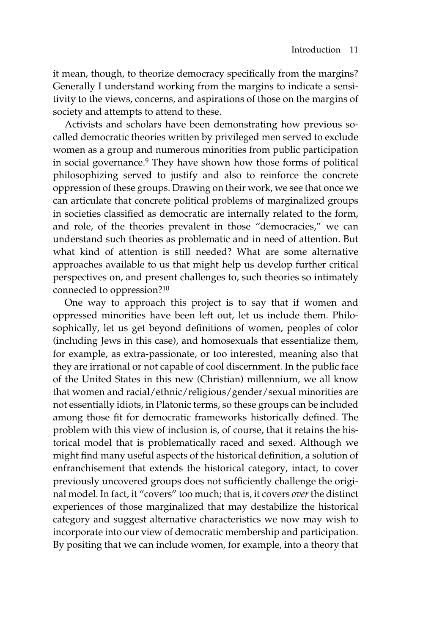it mean, though, to theorize democracy specifically from the margins? Generally I understand working from the margins to indicate a sensitivity to the views, concerns, and aspirations of those on the margins of society and attempts to attend to these.

Activists and scholars have been demonstrating how previous socalled democratic theories written by privileged men served to exclude women as a group and numerous minorities from public participation in social governance.9 They have shown how those forms of political philosophizing served to justify and also to reinforce the concrete oppression of these groups. Drawing on their work, we see that once we can articulate that concrete political problems of marginalized groups in societies classified as democratic are internally related to the form, and role, of the theories prevalent in those "democracies," we can understand such theories as problematic and in need of attention. But what kind of attention is still needed? What are some alternative approaches available to us that might help us develop further critical perspectives on, and present challenges to, such theories so intimately connected to oppression?10

One way to approach this project is to say that if women and oppressed minorities have been left out, let us include them. Philosophically, let us get beyond definitions of women, peoples of color (including Jews in this case), and homosexuals that essentialize them, for example, as extra-passionate, or too interested, meaning also that they are irrational or not capable of cool discernment. In the public face of the United States in this new (Christian) millennium, we all know that women and racial/ethnic/religious/gender/sexual minorities are not essentially idiots, in Platonic terms, so these groups can be included among those fit for democratic frameworks historically defined. The problem with this view of inclusion is, of course, that it retains the historical model that is problematically raced and sexed. Although we might find many useful aspects of the historical definition, a solution of enfranchisement that extends the historical category, intact, to cover previously uncovered groups does not sufficiently challenge the original model. In fact, it "covers" too much; that is, it covers *over* the distinct experiences of those marginalized that may destabilize the historical category and suggest alternative characteristics we now may wish to incorporate into our view of democratic membership and participation. By positing that we can include women, for example, into a theory that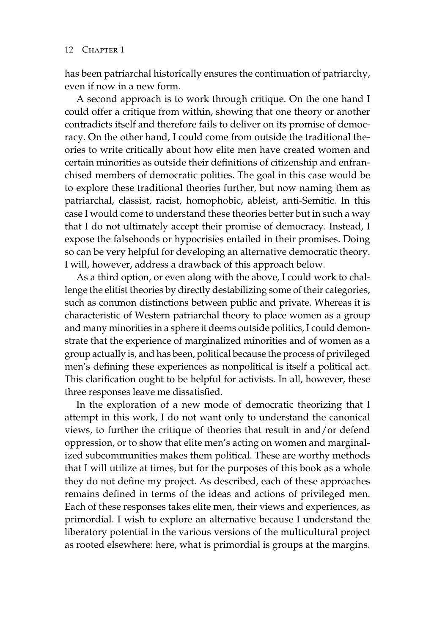has been patriarchal historically ensures the continuation of patriarchy, even if now in a new form.

A second approach is to work through critique. On the one hand I could offer a critique from within, showing that one theory or another contradicts itself and therefore fails to deliver on its promise of democracy. On the other hand, I could come from outside the traditional theories to write critically about how elite men have created women and certain minorities as outside their definitions of citizenship and enfranchised members of democratic polities. The goal in this case would be to explore these traditional theories further, but now naming them as patriarchal, classist, racist, homophobic, ableist, anti-Semitic. In this case I would come to understand these theories better but in such a way that I do not ultimately accept their promise of democracy. Instead, I expose the falsehoods or hypocrisies entailed in their promises. Doing so can be very helpful for developing an alternative democratic theory. I will, however, address a drawback of this approach below.

As a third option, or even along with the above, I could work to challenge the elitist theories by directly destabilizing some of their categories, such as common distinctions between public and private. Whereas it is characteristic of Western patriarchal theory to place women as a group and many minorities in a sphere it deems outside politics, I could demonstrate that the experience of marginalized minorities and of women as a group actually is, and has been, political because the process of privileged men's defining these experiences as nonpolitical is itself a political act. This clarification ought to be helpful for activists. In all, however, these three responses leave me dissatisfied.

In the exploration of a new mode of democratic theorizing that I attempt in this work, I do not want only to understand the canonical views, to further the critique of theories that result in and/or defend oppression, or to show that elite men's acting on women and marginalized subcommunities makes them political. These are worthy methods that I will utilize at times, but for the purposes of this book as a whole they do not define my project. As described, each of these approaches remains defined in terms of the ideas and actions of privileged men. Each of these responses takes elite men, their views and experiences, as primordial. I wish to explore an alternative because I understand the liberatory potential in the various versions of the multicultural project as rooted elsewhere: here, what is primordial is groups at the margins.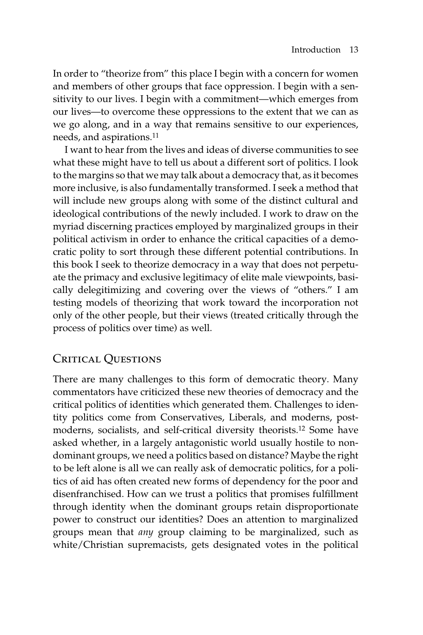In order to "theorize from" this place I begin with a concern for women and members of other groups that face oppression. I begin with a sensitivity to our lives. I begin with a commitment—which emerges from our lives—to overcome these oppressions to the extent that we can as we go along, and in a way that remains sensitive to our experiences, needs, and aspirations.11

I want to hear from the lives and ideas of diverse communities to see what these might have to tell us about a different sort of politics. I look to the margins so that we may talk about a democracy that, as it becomes more inclusive, is also fundamentally transformed. I seek a method that will include new groups along with some of the distinct cultural and ideological contributions of the newly included. I work to draw on the myriad discerning practices employed by marginalized groups in their political activism in order to enhance the critical capacities of a democratic polity to sort through these different potential contributions. In this book I seek to theorize democracy in a way that does not perpetuate the primacy and exclusive legitimacy of elite male viewpoints, basically delegitimizing and covering over the views of "others." I am testing models of theorizing that work toward the incorporation not only of the other people, but their views (treated critically through the process of politics over time) as well.

# Critical Questions

There are many challenges to this form of democratic theory. Many commentators have criticized these new theories of democracy and the critical politics of identities which generated them. Challenges to identity politics come from Conservatives, Liberals, and moderns, postmoderns, socialists, and self-critical diversity theorists.12 Some have asked whether, in a largely antagonistic world usually hostile to nondominant groups, we need a politics based on distance? Maybe the right to be left alone is all we can really ask of democratic politics, for a politics of aid has often created new forms of dependency for the poor and disenfranchised. How can we trust a politics that promises fulfillment through identity when the dominant groups retain disproportionate power to construct our identities? Does an attention to marginalized groups mean that *any* group claiming to be marginalized, such as white/Christian supremacists, gets designated votes in the political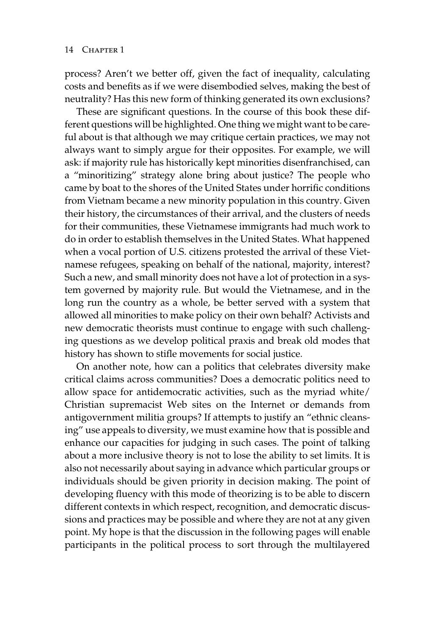process? Aren't we better off, given the fact of inequality, calculating costs and benefits as if we were disembodied selves, making the best of neutrality? Has this new form of thinking generated its own exclusions?

These are significant questions. In the course of this book these different questions will be highlighted. One thing we might want to be careful about is that although we may critique certain practices, we may not always want to simply argue for their opposites. For example, we will ask: if majority rule has historically kept minorities disenfranchised, can a "minoritizing" strategy alone bring about justice? The people who came by boat to the shores of the United States under horrific conditions from Vietnam became a new minority population in this country. Given their history, the circumstances of their arrival, and the clusters of needs for their communities, these Vietnamese immigrants had much work to do in order to establish themselves in the United States. What happened when a vocal portion of U.S. citizens protested the arrival of these Vietnamese refugees, speaking on behalf of the national, majority, interest? Such a new, and small minority does not have a lot of protection in a system governed by majority rule. But would the Vietnamese, and in the long run the country as a whole, be better served with a system that allowed all minorities to make policy on their own behalf? Activists and new democratic theorists must continue to engage with such challenging questions as we develop political praxis and break old modes that history has shown to stifle movements for social justice.

On another note, how can a politics that celebrates diversity make critical claims across communities? Does a democratic politics need to allow space for antidemocratic activities, such as the myriad white/ Christian supremacist Web sites on the Internet or demands from antigovernment militia groups? If attempts to justify an "ethnic cleansing" use appeals to diversity, we must examine how that is possible and enhance our capacities for judging in such cases. The point of talking about a more inclusive theory is not to lose the ability to set limits. It is also not necessarily about saying in advance which particular groups or individuals should be given priority in decision making. The point of developing fluency with this mode of theorizing is to be able to discern different contexts in which respect, recognition, and democratic discussions and practices may be possible and where they are not at any given point. My hope is that the discussion in the following pages will enable participants in the political process to sort through the multilayered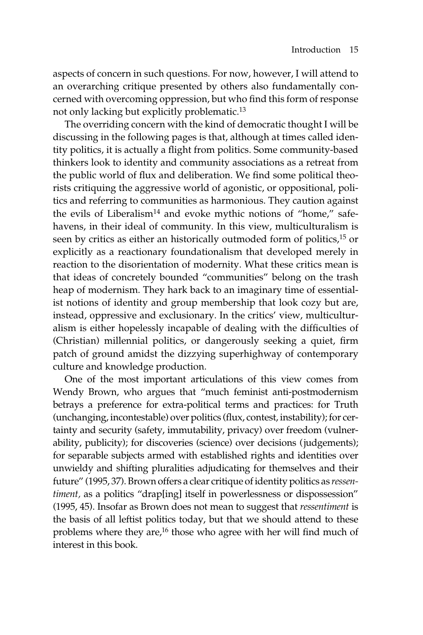aspects of concern in such questions. For now, however, I will attend to an overarching critique presented by others also fundamentally concerned with overcoming oppression, but who find this form of response not only lacking but explicitly problematic.13

The overriding concern with the kind of democratic thought I will be discussing in the following pages is that, although at times called identity politics, it is actually a flight from politics. Some community-based thinkers look to identity and community associations as a retreat from the public world of flux and deliberation. We find some political theorists critiquing the aggressive world of agonistic, or oppositional, politics and referring to communities as harmonious. They caution against the evils of Liberalism<sup>14</sup> and evoke mythic notions of "home," safehavens, in their ideal of community. In this view, multiculturalism is seen by critics as either an historically outmoded form of politics,15 or explicitly as a reactionary foundationalism that developed merely in reaction to the disorientation of modernity. What these critics mean is that ideas of concretely bounded "communities" belong on the trash heap of modernism. They hark back to an imaginary time of essentialist notions of identity and group membership that look cozy but are, instead, oppressive and exclusionary. In the critics' view, multiculturalism is either hopelessly incapable of dealing with the difficulties of (Christian) millennial politics, or dangerously seeking a quiet, firm patch of ground amidst the dizzying superhighway of contemporary culture and knowledge production.

One of the most important articulations of this view comes from Wendy Brown, who argues that "much feminist anti-postmodernism betrays a preference for extra-political terms and practices: for Truth (unchanging, incontestable) over politics (flux, contest, instability); for certainty and security (safety, immutability, privacy) over freedom (vulnerability, publicity); for discoveries (science) over decisions (judgements); for separable subjects armed with established rights and identities over unwieldy and shifting pluralities adjudicating for themselves and their future" (1995, 37). Brown offers a clear critique of identity politics as *ressentiment*, as a politics "drap[ing] itself in powerlessness or dispossession" (1995, 45). Insofar as Brown does not mean to suggest that *ressentiment* is the basis of all leftist politics today, but that we should attend to these problems where they are,16 those who agree with her will find much of interest in this book.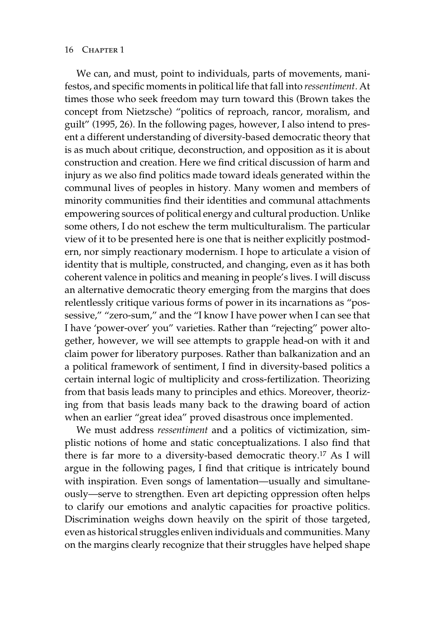#### 16 CHAPTER 1

We can, and must, point to individuals, parts of movements, manifestos, and specific moments in political life that fall into *ressentiment.* At times those who seek freedom may turn toward this (Brown takes the concept from Nietzsche) "politics of reproach, rancor, moralism, and guilt" (1995, 26). In the following pages, however, I also intend to present a different understanding of diversity-based democratic theory that is as much about critique, deconstruction, and opposition as it is about construction and creation. Here we find critical discussion of harm and injury as we also find politics made toward ideals generated within the communal lives of peoples in history. Many women and members of minority communities find their identities and communal attachments empowering sources of political energy and cultural production. Unlike some others, I do not eschew the term multiculturalism. The particular view of it to be presented here is one that is neither explicitly postmodern, nor simply reactionary modernism. I hope to articulate a vision of identity that is multiple, constructed, and changing, even as it has both coherent valence in politics and meaning in people's lives. I will discuss an alternative democratic theory emerging from the margins that does relentlessly critique various forms of power in its incarnations as "possessive," "zero-sum," and the "I know I have power when I can see that I have 'power-over' you" varieties. Rather than "rejecting" power altogether, however, we will see attempts to grapple head-on with it and claim power for liberatory purposes. Rather than balkanization and an a political framework of sentiment, I find in diversity-based politics a certain internal logic of multiplicity and cross-fertilization. Theorizing from that basis leads many to principles and ethics. Moreover, theorizing from that basis leads many back to the drawing board of action when an earlier "great idea" proved disastrous once implemented.

We must address *ressentiment* and a politics of victimization, simplistic notions of home and static conceptualizations. I also find that there is far more to a diversity-based democratic theory.17 As I will argue in the following pages, I find that critique is intricately bound with inspiration. Even songs of lamentation—usually and simultaneously—serve to strengthen. Even art depicting oppression often helps to clarify our emotions and analytic capacities for proactive politics. Discrimination weighs down heavily on the spirit of those targeted, even as historical struggles enliven individuals and communities. Many on the margins clearly recognize that their struggles have helped shape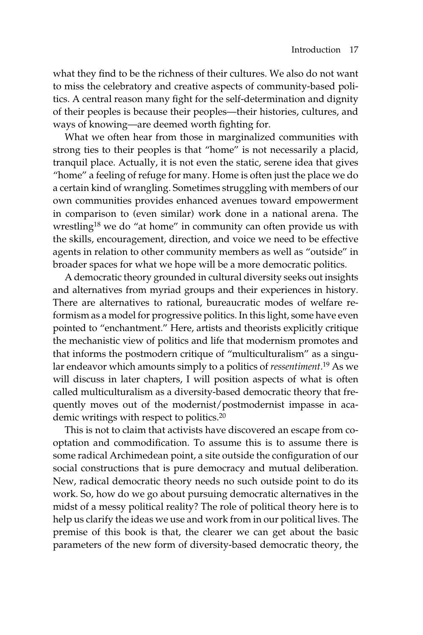what they find to be the richness of their cultures. We also do not want to miss the celebratory and creative aspects of community-based politics. A central reason many fight for the self-determination and dignity of their peoples is because their peoples—their histories, cultures, and ways of knowing—are deemed worth fighting for.

What we often hear from those in marginalized communities with strong ties to their peoples is that "home" is not necessarily a placid, tranquil place. Actually, it is not even the static, serene idea that gives "home" a feeling of refuge for many. Home is often just the place we do a certain kind of wrangling. Sometimes struggling with members of our own communities provides enhanced avenues toward empowerment in comparison to (even similar) work done in a national arena. The wrestling18 we do "at home" in community can often provide us with the skills, encouragement, direction, and voice we need to be effective agents in relation to other community members as well as "outside" in broader spaces for what we hope will be a more democratic politics.

A democratic theory grounded in cultural diversity seeks out insights and alternatives from myriad groups and their experiences in history. There are alternatives to rational, bureaucratic modes of welfare reformism as a model for progressive politics. In this light, some have even pointed to "enchantment." Here, artists and theorists explicitly critique the mechanistic view of politics and life that modernism promotes and that informs the postmodern critique of "multiculturalism" as a singular endeavor which amounts simply to a politics of *ressentiment*. <sup>19</sup> As we will discuss in later chapters, I will position aspects of what is often called multiculturalism as a diversity-based democratic theory that frequently moves out of the modernist/postmodernist impasse in academic writings with respect to politics.20

This is not to claim that activists have discovered an escape from cooptation and commodification. To assume this is to assume there is some radical Archimedean point, a site outside the configuration of our social constructions that is pure democracy and mutual deliberation. New, radical democratic theory needs no such outside point to do its work. So, how do we go about pursuing democratic alternatives in the midst of a messy political reality? The role of political theory here is to help us clarify the ideas we use and work from in our political lives. The premise of this book is that, the clearer we can get about the basic parameters of the new form of diversity-based democratic theory, the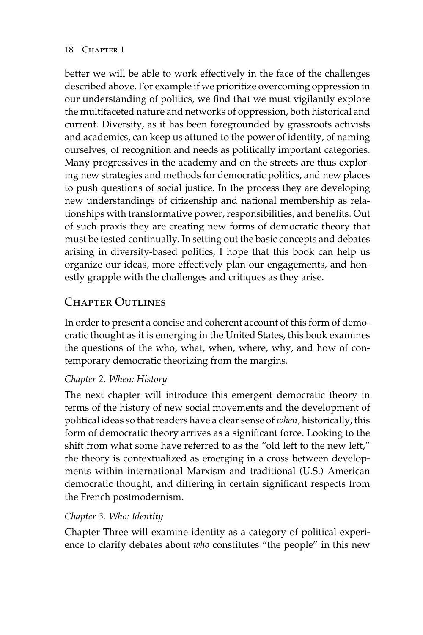better we will be able to work effectively in the face of the challenges described above. For example if we prioritize overcoming oppression in our understanding of politics, we find that we must vigilantly explore the multifaceted nature and networks of oppression, both historical and current. Diversity, as it has been foregrounded by grassroots activists and academics, can keep us attuned to the power of identity, of naming ourselves, of recognition and needs as politically important categories. Many progressives in the academy and on the streets are thus exploring new strategies and methods for democratic politics, and new places to push questions of social justice. In the process they are developing new understandings of citizenship and national membership as relationships with transformative power, responsibilities, and benefits. Out of such praxis they are creating new forms of democratic theory that must be tested continually. In setting out the basic concepts and debates arising in diversity-based politics, I hope that this book can help us organize our ideas, more effectively plan our engagements, and honestly grapple with the challenges and critiques as they arise.

## Chapter Outlines

In order to present a concise and coherent account of this form of democratic thought as it is emerging in the United States, this book examines the questions of the who, what, when, where, why, and how of contemporary democratic theorizing from the margins.

#### *Chapter 2. When: History*

The next chapter will introduce this emergent democratic theory in terms of the history of new social movements and the development of political ideas so that readers have a clear sense of *when,* historically, this form of democratic theory arrives as a significant force. Looking to the shift from what some have referred to as the "old left to the new left," the theory is contextualized as emerging in a cross between developments within international Marxism and traditional (U.S.) American democratic thought, and differing in certain significant respects from the French postmodernism.

#### *Chapter 3. Who: Identity*

Chapter Three will examine identity as a category of political experience to clarify debates about *who* constitutes "the people" in this new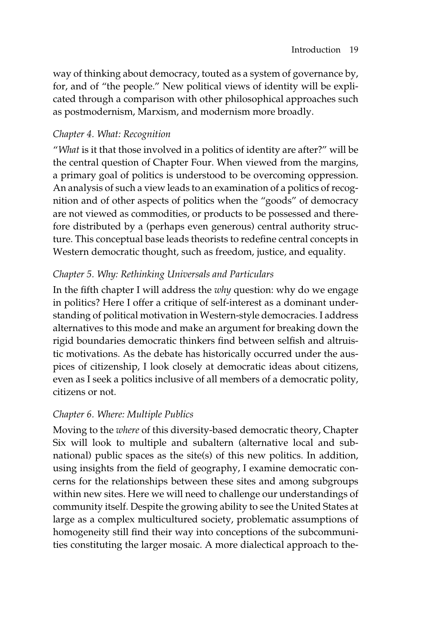way of thinking about democracy, touted as a system of governance by, for, and of "the people." New political views of identity will be explicated through a comparison with other philosophical approaches such as postmodernism, Marxism, and modernism more broadly.

### *Chapter 4. What: Recognition*

"*What* is it that those involved in a politics of identity are after?" will be the central question of Chapter Four. When viewed from the margins, a primary goal of politics is understood to be overcoming oppression. An analysis of such a view leads to an examination of a politics of recognition and of other aspects of politics when the "goods" of democracy are not viewed as commodities, or products to be possessed and therefore distributed by a (perhaps even generous) central authority structure. This conceptual base leads theorists to redefine central concepts in Western democratic thought, such as freedom, justice, and equality.

### *Chapter 5. Why: Rethinking Universals and Particulars*

In the fifth chapter I will address the *why* question: why do we engage in politics? Here I offer a critique of self-interest as a dominant understanding of political motivation in Western-style democracies. I address alternatives to this mode and make an argument for breaking down the rigid boundaries democratic thinkers find between selfish and altruistic motivations. As the debate has historically occurred under the auspices of citizenship, I look closely at democratic ideas about citizens, even as I seek a politics inclusive of all members of a democratic polity, citizens or not.

#### *Chapter 6. Where: Multiple Publics*

Moving to the *where* of this diversity-based democratic theory, Chapter Six will look to multiple and subaltern (alternative local and subnational) public spaces as the site(s) of this new politics. In addition, using insights from the field of geography, I examine democratic concerns for the relationships between these sites and among subgroups within new sites. Here we will need to challenge our understandings of community itself. Despite the growing ability to see the United States at large as a complex multicultured society, problematic assumptions of homogeneity still find their way into conceptions of the subcommunities constituting the larger mosaic. A more dialectical approach to the-